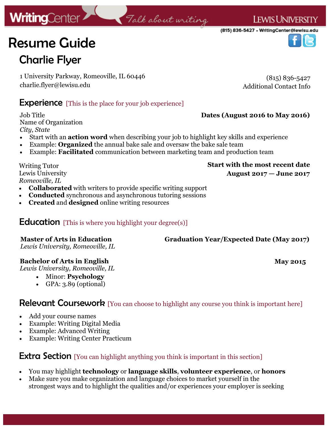# Resume Guide Charlie Flyer

1 University Parkway, Romeoville, IL 60446 charlie.flyer@lewisu.edu

(815) 836-5427 Additional Contact Info

## **Experience** [This is the place for your job experience]

Job Title Name of Organization *City, State*

- Start with an **action word** when describing your job to highlight key skills and experience
- Example: **Organized** the annual bake sale and oversaw the bake sale team
- Example: **Facilitated** communication between marketing team and production team

Writing Tutor Lewis University *Romeoville, IL* 

- **Collaborated** with writers to provide specific writing support
- **Conducted** synchronous and asynchronous tutoring sessions
- **Created** and **designed** online writing resources

## **Education** [This is where you highlight your degree(s)]

## **Master of Arts in Education**

*Lewis University, Romeoville, IL* 

## **Bachelor of Arts in English**

*Lewis University, Romeoville, IL* 

- Minor: **Psychology**
- GPA: 3.89 (optional)

Relevant Coursework [You can choose to highlight any course you think is important here]

- Add your course names
- Example: Writing Digital Media
- Example: Advanced Writing
- Example: Writing Center Practicum

## **Extra Section** [You can highlight anything you think is important in this section]

- You may highlight **technology** or **language skills**, **volunteer experience**, or **honors**
- Make sure you make organization and language choices to market yourself in the strongest ways and to highlight the qualities and/or experiences your employer is seeking

# **Start with the most recent date**

**Dates (August 2016 to May 2016)**

**Graduation Year/Expected Date (May 2017)**

**August 2017 — June 2017**

**May 2015**



# Talk about writing



**LEWIS UNIVERSITY**